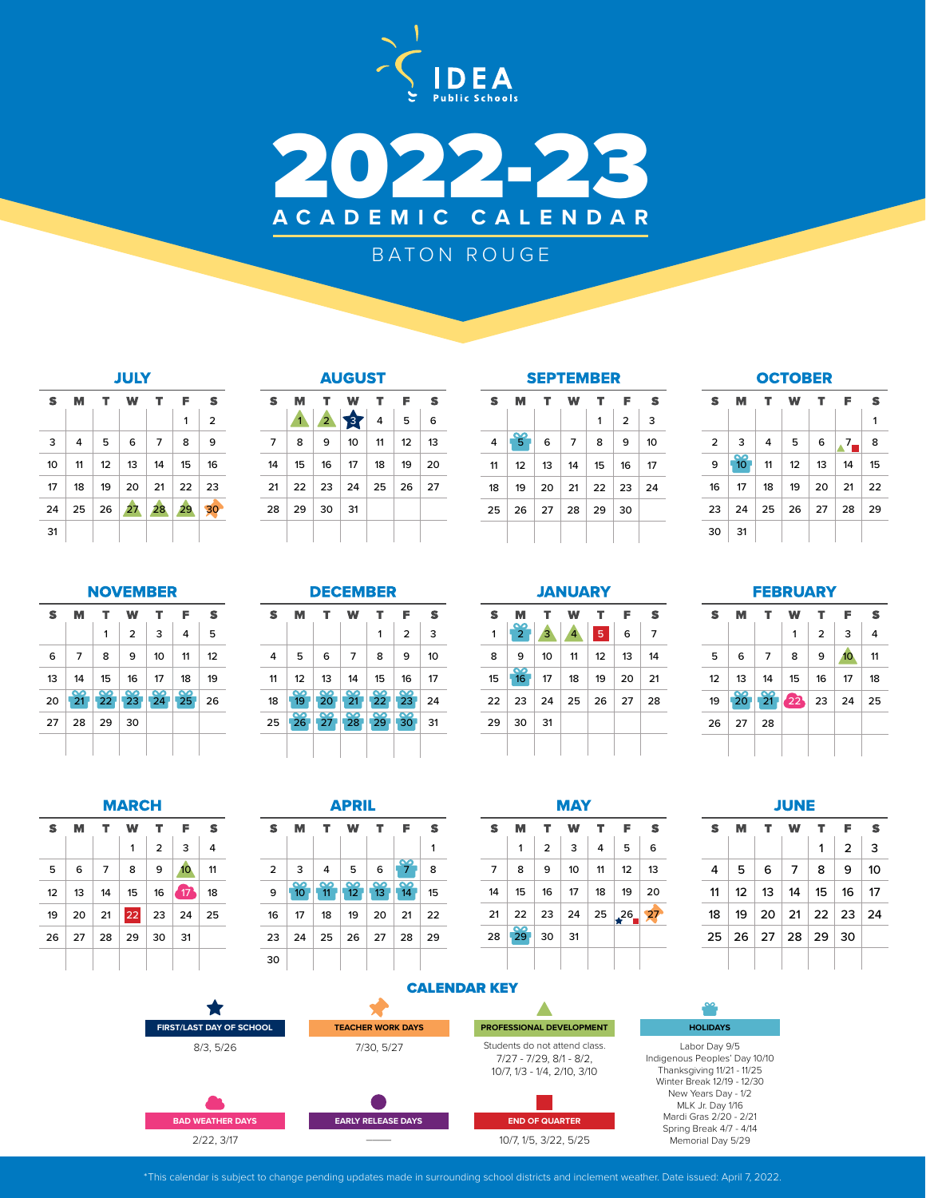



# BATON ROUGE

| M              | т  | W  | т              | F    | s                       |
|----------------|----|----|----------------|------|-------------------------|
|                |    |    |                | 1    | $\overline{\mathbf{c}}$ |
| $\overline{4}$ | 5  | 6  | $\overline{7}$ | 8    | 9                       |
| 11             | 12 | 13 | 14             | 15   | 16                      |
| 18             | 19 | 20 | 21             |      | 23                      |
| 25             | 26 | 27 | 28             | 29   | 30                      |
|                |    |    |                |      |                         |
|                |    |    |                | JULY | 22                      |

## **AUGUST**

| s  | M                           |              | T W           |              | T F        | s    |
|----|-----------------------------|--------------|---------------|--------------|------------|------|
|    |                             |              | 127           |              | - 5        | 6    |
| 7  | 8                           | 9            |               | $10 \mid 11$ | $\vert$ 12 | ∣ 13 |
| 14 | 15                          |              | $16$ 17 18 19 |              |            | 20   |
| 21 | 22   23   24   25   26   27 |              |               |              |            |      |
| 28 |                             | $29 \mid 30$ | 31            |              |            |      |
|    |                             |              |               |              |            |      |

S

| s  | м                          | т                                       | w                          | т                    | F               | s  |
|----|----------------------------|-----------------------------------------|----------------------------|----------------------|-----------------|----|
|    |                            |                                         |                            | 1                    | $\overline{2}$  | 3  |
| 4  | 5                          | 6                                       | 7                          | 8                    | 9               | 10 |
| 11 | 12                         | 13                                      | 14                         | 15                   | 16              | 17 |
| 18 | ൦<br>19                    | $\frac{6}{20}$                          | $\frac{80}{21}$            | $\frac{60}{22}$      | $\frac{8}{23}$  | 24 |
| 25 | $\overline{\bullet}$<br>26 | $\overline{\bullet}$<br>27 <sub>1</sub> | $\overline{\bullet}$<br>28 | ൦<br>29 <sub>1</sub> | $\frac{80}{30}$ | 31 |
|    |                            |                                         |                            |                      |                 |    |

### **SEPTEMBER** S M  $\mathbf T$ W  $\mathbf T$  $\mathsf F$ S  $1 \mid 2 \mid 3$  5 6 7 8 9 10 12 13 14 15 16 17 19 20 21 22 23 24 26 27 28 29 30

## **OCTOBER**

| s              | м              | T.                  | W  | т       | F    | S  |
|----------------|----------------|---------------------|----|---------|------|----|
|                |                |                     |    |         |      | 1  |
| $\overline{2}$ | 3              | $\overline{4}$      | 5  | 6       | $^2$ | 8  |
| 9              | $\frac{1}{10}$ | 11                  | 12 | 13      | 14   | 15 |
| 16             | - 17           | 18                  | 19 | 20      | 21   | 22 |
| 23             | 24             | $\vert 25 \vert 26$ |    | $27$ 28 |      | 29 |
| 30             | 31             |                     |    |         |      |    |

## **NOVEMBER**

| S  | м              | т  | w              | т               | F               | s  |
|----|----------------|----|----------------|-----------------|-----------------|----|
|    |                | 1  | $\overline{2}$ | 3               | 4               | 5  |
| 6  | 7              | 8  | 9              | 10              | 11              | 12 |
| 13 | 14             | 15 | 16             | 17              | 18              | 19 |
| 20 | $\frac{1}{21}$ |    | 22   23        | $\frac{80}{24}$ | $\frac{90}{25}$ | 26 |
| 27 | 28             | 29 | 30             |                 |                 |    |
|    |                |    |                |                 |                 |    |

|  |  | EMB |  |  |
|--|--|-----|--|--|
|  |  |     |  |  |

| S  | м       | т                    | w               | т               | F              | s  |
|----|---------|----------------------|-----------------|-----------------|----------------|----|
|    |         |                      |                 | 1               | $\overline{2}$ | 3  |
| 4  | 5       | 6                    | 7               | 8               | 9              | 10 |
| 11 | 12      | 13                   | 14              | 15              | 16             | 17 |
| 18 | ൦<br>19 | $\frac{6}{20}$       | $\frac{80}{21}$ | $\frac{8}{22}$  | $\frac{8}{23}$ | 24 |
| 25 | ൦<br>26 | ൦<br>27 <sup>1</sup> | ß<br>28         | $\frac{60}{29}$ | $\frac{8}{30}$ | 31 |
|    |         |                      |                 |                 |                |    |

## **JANUARY**

| S  | м                           | т. | w  | т               | F  | S  |
|----|-----------------------------|----|----|-----------------|----|----|
| 1  | $\mathbf{P}$                | 3  | 4  | Q               | 6  | 7  |
| 8  | 9                           | 10 | 11 | 12 <sup>2</sup> | 13 | 14 |
| 15 | $\infty$<br>16 <sup>1</sup> | 17 | 18 | 19              | 20 | 21 |
| 22 | 23                          | 24 | 25 | 26 27           |    | 28 |
| 29 | 30                          | 31 |    |                 |    |    |
|    |                             |    |    |                 |    |    |

## **FEBRUARY**

| s               | м  | т                    | w                                                            | т              | F                | S  |
|-----------------|----|----------------------|--------------------------------------------------------------|----------------|------------------|----|
|                 |    |                      | 1                                                            | $\overline{2}$ | 3                | 4  |
| 5               | 6  | $\overline{7}$       | 8                                                            | 9              | 10 <sub>10</sub> | 11 |
| 12 <sup>2</sup> |    | $13 \mid 14 \mid 15$ |                                                              | 16             | 17               | 18 |
| 19              |    |                      | $20 \begin{array}{ c c c }\n 21 & 22 & 23 & 24\n\end{array}$ |                |                  | 25 |
| 26              | 27 | 28                   |                                                              |                |                  |    |
|                 |    |                      |                                                              |                |                  |    |

| MARCH<br>W<br>т<br>F<br>М<br>т<br>$\overline{2}$<br>3<br>1<br>10 <sub>10</sub><br>9<br>6<br>8<br>$\overline{7}$<br>47<br>15 <sub>15</sub><br>16<br>13<br>14 |    |    |  |         |    |    |
|-------------------------------------------------------------------------------------------------------------------------------------------------------------|----|----|--|---------|----|----|
| S                                                                                                                                                           |    |    |  |         |    | s  |
|                                                                                                                                                             |    |    |  |         |    | 4  |
| 5                                                                                                                                                           |    |    |  |         |    | 11 |
| 12                                                                                                                                                          |    |    |  |         |    | 18 |
| 19                                                                                                                                                          | 20 | 21 |  | $22$ 23 | 24 | 25 |

*<u>AAMAALA</u>* 

27 28 29 30 31

| APRIL |
|-------|
|-------|

| s  | м                     | т.      | w                    | т.                                | F              | s  |
|----|-----------------------|---------|----------------------|-----------------------------------|----------------|----|
|    |                       |         |                      |                                   |                | 1  |
| 2  | 3                     | 4       | 5                    | 6                                 | ൦              | 8  |
| 9  | ൶<br>10 <sup>10</sup> | ൦<br>11 | ൦<br>12 <sup>2</sup> | $\overline{\mathbf{z}}$<br>$13 -$ | $\infty$<br>14 | 15 |
| 16 | 17                    | 18      | 19                   | 20                                | 21             | 22 |
| 23 | 24                    | 25      | $\mid$ 26            | $\vert$ 27                        | 28             | 29 |
| 30 |                       |         |                      |                                   |                |    |



|--|

| S | M .                                                  | т.  |                | W T            | F              | S  |
|---|------------------------------------------------------|-----|----------------|----------------|----------------|----|
|   |                                                      |     |                | 1              | $\overline{2}$ | 3  |
| 4 | 5                                                    | - 6 | $\overline{7}$ | 8 <sup>1</sup> | 9 <sup>1</sup> | 10 |
|   | $11 \mid 12 \mid 13 \mid 14 \mid 15 \mid 16 \mid 17$ |     |                |                |                |    |
|   | 18   19   20   21   22   23   24                     |     |                |                |                |    |
|   | 25 26 27 28 29 30                                    |     |                |                |                |    |
|   |                                                      |     |                |                |                |    |